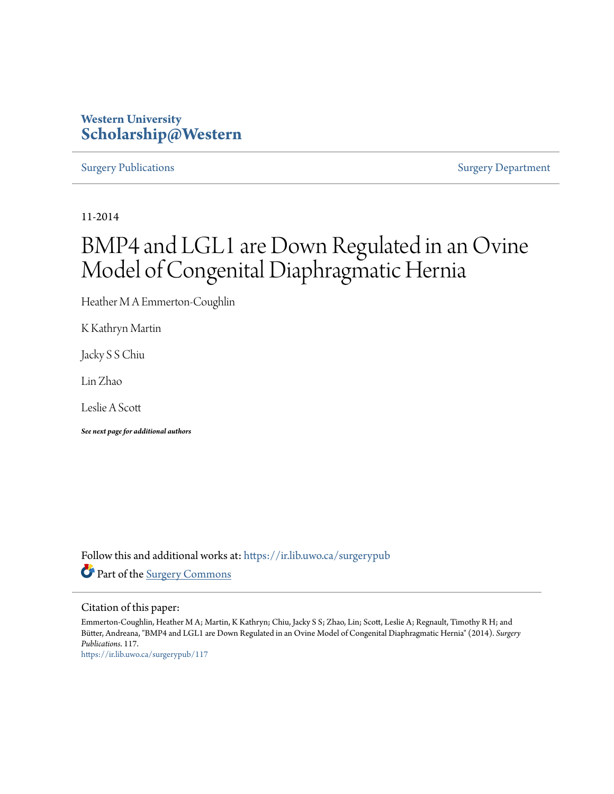### **Western University [Scholarship@Western](https://ir.lib.uwo.ca?utm_source=ir.lib.uwo.ca%2Fsurgerypub%2F117&utm_medium=PDF&utm_campaign=PDFCoverPages)**

[Surgery Publications](https://ir.lib.uwo.ca/surgerypub?utm_source=ir.lib.uwo.ca%2Fsurgerypub%2F117&utm_medium=PDF&utm_campaign=PDFCoverPages) [Surgery Department](https://ir.lib.uwo.ca/surgery?utm_source=ir.lib.uwo.ca%2Fsurgerypub%2F117&utm_medium=PDF&utm_campaign=PDFCoverPages)

11-2014

# BMP4 and LGL1 are Down Regulated in an Ovine Model of Congenital Diaphragmatic Hernia

Heather M A Emmerton-Coughlin

K Kathryn Martin

Jacky S S Chiu

Lin Zhao

Leslie A Scott

*See next page for additional authors*

Follow this and additional works at: [https://ir.lib.uwo.ca/surgerypub](https://ir.lib.uwo.ca/surgerypub?utm_source=ir.lib.uwo.ca%2Fsurgerypub%2F117&utm_medium=PDF&utm_campaign=PDFCoverPages) Part of the [Surgery Commons](http://network.bepress.com/hgg/discipline/706?utm_source=ir.lib.uwo.ca%2Fsurgerypub%2F117&utm_medium=PDF&utm_campaign=PDFCoverPages)

#### Citation of this paper:

Emmerton-Coughlin, Heather M A; Martin, K Kathryn; Chiu, Jacky S S; Zhao, Lin; Scott, Leslie A; Regnault, Timothy R H; and Bütter, Andreana, "BMP4 and LGL1 are Down Regulated in an Ovine Model of Congenital Diaphragmatic Hernia" (2014). *Surgery Publications*. 117.

[https://ir.lib.uwo.ca/surgerypub/117](https://ir.lib.uwo.ca/surgerypub/117?utm_source=ir.lib.uwo.ca%2Fsurgerypub%2F117&utm_medium=PDF&utm_campaign=PDFCoverPages)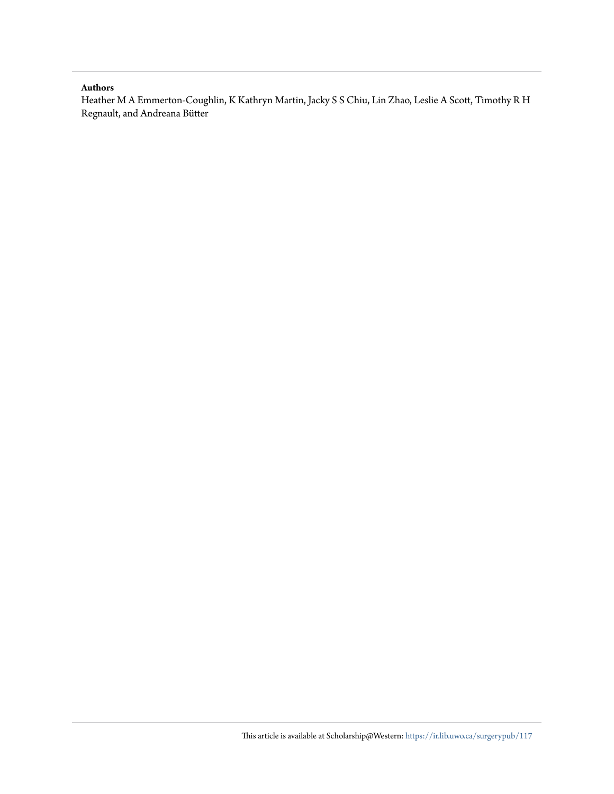#### **Authors**

Heather M A Emmerton-Coughlin, K Kathryn Martin, Jacky S S Chiu, Lin Zhao, Leslie A Scott, Timothy R H Regnault, and Andreana Bütter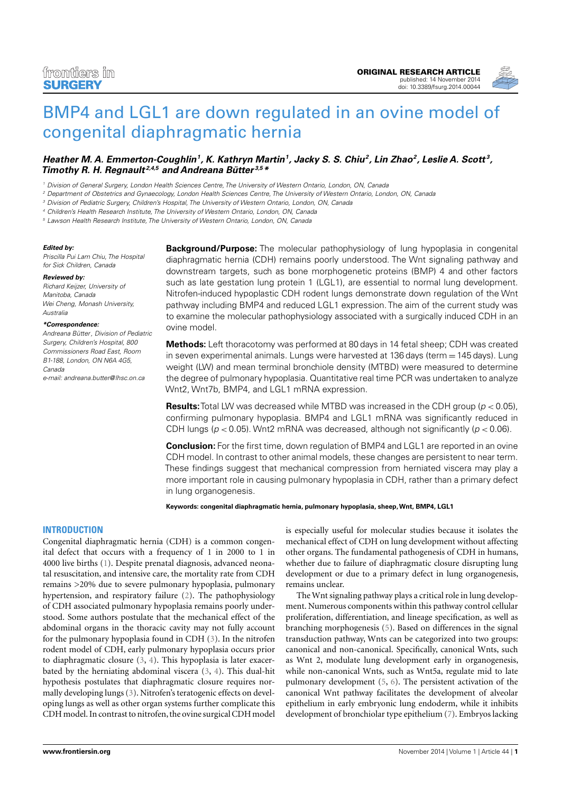

## [BMP4 and LGL1 are down regulated in an ovine model of](http://www.frontiersin.org/Journal/10.3389/fsurg.2014.00044/abstract) [congenital diaphragmatic hernia](http://www.frontiersin.org/Journal/10.3389/fsurg.2014.00044/abstract)

#### **Heather M. A. Emmerton-Coughlin<sup>1</sup> , K. Kathryn Martin<sup>1</sup> , Jacky S. S. Chiu<sup>2</sup> , Lin Zhao<sup>2</sup> , Leslie A. Scott <sup>3</sup> , [Timothy R. H. Regnault](http://www.frontiersin.org/people/u/192875) 2,4,5 and [Andreana Bütter](http://www.frontiersin.org/people/u/143997) 3,5\***

<sup>1</sup> Division of General Surgery, London Health Sciences Centre, The University of Western Ontario, London, ON, Canada

<sup>2</sup> Department of Obstetrics and Gynaecology, London Health Sciences Centre, The University of Western Ontario, London, ON, Canada

<sup>3</sup> Division of Pediatric Surgery, Children's Hospital, The University of Western Ontario, London, ON, Canada

<sup>4</sup> Children's Health Research Institute, The University of Western Ontario, London, ON, Canada

<sup>5</sup> Lawson Health Research Institute, The University of Western Ontario, London, ON, Canada

#### **Edited by:**

Priscilla Pui Lam Chiu, The Hospital for Sick Children, Canada

#### **Reviewed by:**

Richard Keijzer, University of Manitoba, Canada Wei Cheng, Monash University, Australia

#### **\*Correspondence:**

Andreana Bütter, Division of Pediatric Surgery, Children's Hospital, 800 Commissioners Road East, Room B1-188, London, ON N6A 4G5, Canada e-mail: [andreana.butter@lhsc.on.ca](mailto:andreana.butter@lhsc.on.ca)

**Background/Purpose:** The molecular pathophysiology of lung hypoplasia in congenital diaphragmatic hernia (CDH) remains poorly understood. The Wnt signaling pathway and downstream targets, such as bone morphogenetic proteins (BMP) 4 and other factors such as late gestation lung protein 1 (LGL1), are essential to normal lung development. Nitrofen-induced hypoplastic CDH rodent lungs demonstrate down regulation of the Wnt pathway including BMP4 and reduced LGL1 expression. The aim of the current study was to examine the molecular pathophysiology associated with a surgically induced CDH in an ovine model.

**Methods:** Left thoracotomy was performed at 80 days in 14 fetal sheep; CDH was created in seven experimental animals. Lungs were harvested at  $136$  days (term  $= 145$  days). Lung weight (LW) and mean terminal bronchiole density (MTBD) were measured to determine the degree of pulmonary hypoplasia. Quantitative real time PCR was undertaken to analyze Wnt2, Wnt7b, BMP4, and LGL1 mRNA expression.

**Results:** Total LW was decreased while MTBD was increased in the CDH group ( $p < 0.05$ ), confirming pulmonary hypoplasia. BMP4 and LGL1 mRNA was significantly reduced in CDH lungs ( $p < 0.05$ ). Wnt2 mRNA was decreased, although not significantly ( $p < 0.06$ ).

**Conclusion:** For the first time, down regulation of BMP4 and LGL1 are reported in an ovine CDH model. In contrast to other animal models, these changes are persistent to near term. These findings suggest that mechanical compression from herniated viscera may play a more important role in causing pulmonary hypoplasia in CDH, rather than a primary defect in lung organogenesis.

**Keywords: congenital diaphragmatic hernia, pulmonary hypoplasia, sheep,Wnt, BMP4, LGL1**

#### **INTRODUCTION**

Congenital diaphragmatic hernia (CDH) is a common congenital defect that occurs with a frequency of 1 in 2000 to 1 in 4000 live births [\(1\)](#page-5-0). Despite prenatal diagnosis, advanced neonatal resuscitation, and intensive care, the mortality rate from CDH remains >20% due to severe pulmonary hypoplasia, pulmonary hypertension, and respiratory failure [\(2\)](#page-5-1). The pathophysiology of CDH associated pulmonary hypoplasia remains poorly understood. Some authors postulate that the mechanical effect of the abdominal organs in the thoracic cavity may not fully account for the pulmonary hypoplasia found in CDH [\(3\)](#page-5-2). In the nitrofen rodent model of CDH, early pulmonary hypoplasia occurs prior to diaphragmatic closure [\(3,](#page-5-2) [4\)](#page-5-3). This hypoplasia is later exacerbated by the herniating abdominal viscera [\(3,](#page-5-2) [4\)](#page-5-3). This dual-hit hypothesis postulates that diaphragmatic closure requires normally developing lungs [\(3\)](#page-5-2). Nitrofen's teratogenic effects on developing lungs as well as other organ systems further complicate this CDH model. In contrast to nitrofen, the ovine surgical CDH model is especially useful for molecular studies because it isolates the mechanical effect of CDH on lung development without affecting other organs. The fundamental pathogenesis of CDH in humans, whether due to failure of diaphragmatic closure disrupting lung development or due to a primary defect in lung organogenesis, remains unclear.

The Wnt signaling pathway plays a critical role in lung development. Numerous components within this pathway control cellular proliferation, differentiation, and lineage specification, as well as branching morphogenesis [\(5\)](#page-5-4). Based on differences in the signal transduction pathway, Wnts can be categorized into two groups: canonical and non-canonical. Specifically, canonical Wnts, such as Wnt 2, modulate lung development early in organogenesis, while non-canonical Wnts, such as Wnt5a, regulate mid to late pulmonary development [\(5,](#page-5-4) [6\)](#page-5-5). The persistent activation of the canonical Wnt pathway facilitates the development of alveolar epithelium in early embryonic lung endoderm, while it inhibits development of bronchiolar type epithelium [\(7\)](#page-5-6). Embryos lacking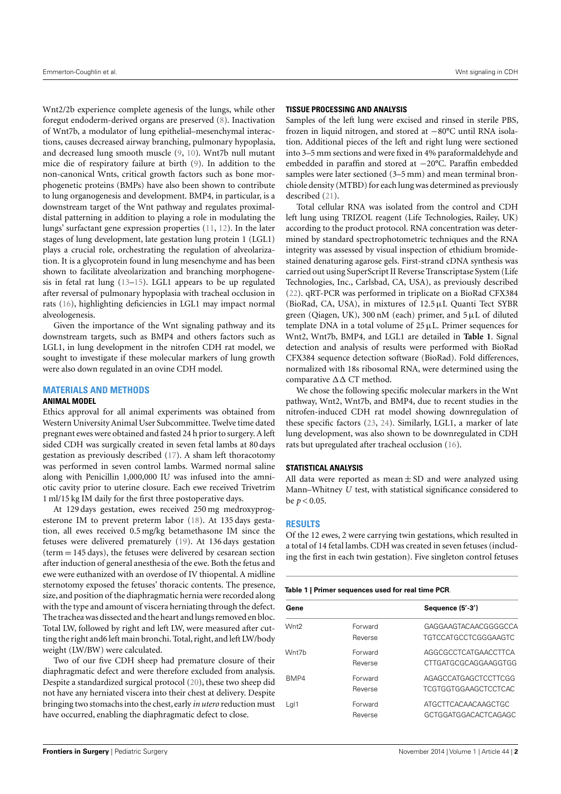Wnt2/2b experience complete agenesis of the lungs, while other foregut endoderm-derived organs are preserved [\(8\)](#page-5-7). Inactivation of Wnt7b, a modulator of lung epithelial–mesenchymal interactions, causes decreased airway branching, pulmonary hypoplasia, and decreased lung smooth muscle [\(9,](#page-5-8) [10\)](#page-5-9). Wnt7b null mutant mice die of respiratory failure at birth [\(9\)](#page-5-8). In addition to the non-canonical Wnts, critical growth factors such as bone morphogenetic proteins (BMPs) have also been shown to contribute to lung organogenesis and development. BMP4, in particular, is a downstream target of the Wnt pathway and regulates proximaldistal patterning in addition to playing a role in modulating the lungs' surfactant gene expression properties [\(11,](#page-5-10) [12\)](#page-5-11). In the later stages of lung development, late gestation lung protein 1 (LGL1) plays a crucial role, orchestrating the regulation of alveolarization. It is a glycoprotein found in lung mesenchyme and has been shown to facilitate alveolarization and branching morphogenesis in fetal rat lung [\(13](#page-5-12)[–15\)](#page-6-0). LGL1 appears to be up regulated after reversal of pulmonary hypoplasia with tracheal occlusion in rats [\(16\)](#page-6-1), highlighting deficiencies in LGL1 may impact normal alveologenesis.

Given the importance of the Wnt signaling pathway and its downstream targets, such as BMP4 and others factors such as LGL1, in lung development in the nitrofen CDH rat model, we sought to investigate if these molecular markers of lung growth were also down regulated in an ovine CDH model.

#### **MATERIALS AND METHODS**

#### **ANIMAL MODEL**

Ethics approval for all animal experiments was obtained from Western University Animal User Subcommittee. Twelve time dated pregnant ewes were obtained and fasted 24 h prior to surgery. A left sided CDH was surgically created in seven fetal lambs at 80 days gestation as previously described [\(17\)](#page-6-2). A sham left thoracotomy was performed in seven control lambs. Warmed normal saline along with Penicillin 1,000,000 IU was infused into the amniotic cavity prior to uterine closure. Each ewe received Trivetrim 1 ml/15 kg IM daily for the first three postoperative days.

At 129 days gestation, ewes received 250 mg medroxyprogesterone IM to prevent preterm labor [\(18\)](#page-6-3). At 135 days gestation, all ewes received 0.5 mg/kg betamethasone IM since the fetuses were delivered prematurely [\(19\)](#page-6-4). At 136 days gestation (term = 145 days), the fetuses were delivered by cesarean section after induction of general anesthesia of the ewe. Both the fetus and ewe were euthanized with an overdose of IV thiopental. A midline sternotomy exposed the fetuses' thoracic contents. The presence, size, and position of the diaphragmatic hernia were recorded along with the type and amount of viscera herniating through the defect. The trachea was dissected and the heart and lungs removed en bloc. Total LW, followed by right and left LW, were measured after cutting the right and6 left main bronchi. Total, right, and left LW/body weight (LW/BW) were calculated.

Two of our five CDH sheep had premature closure of their diaphragmatic defect and were therefore excluded from analysis. Despite a standardized surgical protocol [\(20\)](#page-6-5), these two sheep did not have any herniated viscera into their chest at delivery. Despite bringing two stomachs into the chest, early *in utero* reduction must have occurred, enabling the diaphragmatic defect to close.

#### **TISSUE PROCESSING AND ANALYSIS**

Samples of the left lung were excised and rinsed in sterile PBS, frozen in liquid nitrogen, and stored at −80°C until RNA isolation. Additional pieces of the left and right lung were sectioned into 3–5 mm sections and were fixed in 4% paraformaldehyde and embedded in paraffin and stored at −20°C. Paraffin embedded samples were later sectioned (3–5 mm) and mean terminal bronchiole density (MTBD) for each lung was determined as previously described [\(21\)](#page-6-6).

Total cellular RNA was isolated from the control and CDH left lung using TRIZOL reagent (Life Technologies, Railey, UK) according to the product protocol. RNA concentration was determined by standard spectrophotometric techniques and the RNA integrity was assessed by visual inspection of ethidium bromidestained denaturing agarose gels. First-strand cDNA synthesis was carried out using SuperScript II Reverse Transcriptase System (Life Technologies, Inc., Carlsbad, CA, USA), as previously described [\(22\)](#page-6-7). qRT-PCR was performed in triplicate on a BioRad CFX384 (BioRad, CA, USA), in mixtures of 12.5µL Quanti Tect SYBR green (Qiagen, UK), 300 nM (each) primer, and  $5 \mu L$  of diluted template DNA in a total volume of  $25 \mu L$ . Primer sequences for Wnt2, Wnt7b, BMP4, and LGL1 are detailed in **[Table 1](#page-3-0)**. Signal detection and analysis of results were performed with BioRad CFX384 sequence detection software (BioRad). Fold differences, normalized with 18s ribosomal RNA, were determined using the comparative ∆∆ CT method.

We chose the following specific molecular markers in the Wnt pathway, Wnt2, Wnt7b, and BMP4, due to recent studies in the nitrofen-induced CDH rat model showing downregulation of these specific factors [\(23,](#page-6-8) [24\)](#page-6-9). Similarly, LGL1, a marker of late lung development, was also shown to be downregulated in CDH rats but upregulated after tracheal occlusion [\(16\)](#page-6-1).

#### **STATISTICAL ANALYSIS**

All data were reported as mean  $\pm$  SD and were analyzed using Mann–Whitney *U* test, with statistical significance considered to be *p* < 0.05.

#### **RESULTS**

Of the 12 ewes, 2 were carrying twin gestations, which resulted in a total of 14 fetal lambs. CDH was created in seven fetuses (including the first in each twin gestation). Five singleton control fetuses

#### <span id="page-3-0"></span>**Table 1 | Primer sequences used for real time PCR**.

| Gene             |                    | Sequence (5'-3')                             |
|------------------|--------------------|----------------------------------------------|
| Wnt <sub>2</sub> | Forward<br>Reverse | GAGGAAGTACAACGGGGCCA<br>TGTCCATGCCTCGGGAAGTC |
| Wnt7h            | Forward<br>Reverse | AGGCGCCTCATGAACCTTCA<br>CTTGATGCGCAGGAAGGTGG |
| RMP4             | Forward<br>Reverse | AGAGCCATGAGCTCCTTCGG<br>TCGTGGTGGAAGCTCCTCAC |
| Lg <sub>1</sub>  | Forward<br>Reverse | ATGCTTCACAACAAGCTGC<br>GCTGGATGGACACTCAGAGC  |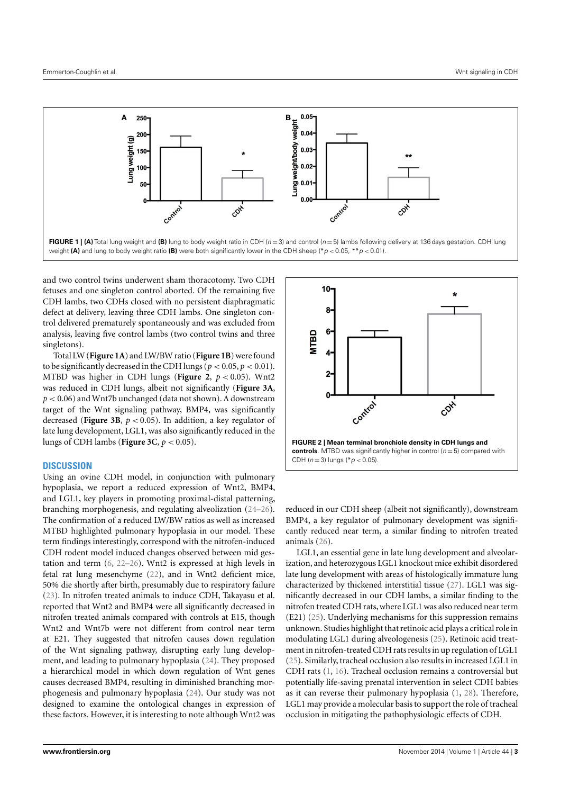

<span id="page-4-0"></span>and two control twins underwent sham thoracotomy. Two CDH fetuses and one singleton control aborted. Of the remaining five CDH lambs, two CDHs closed with no persistent diaphragmatic defect at delivery, leaving three CDH lambs. One singleton control delivered prematurely spontaneously and was excluded from analysis, leaving five control lambs (two control twins and three singletons).

Total LW (**[Figure 1A](#page-4-0)**) and LW/BW ratio (**[Figure 1B](#page-4-0)**) were found to be significantly decreased in the CDH lungs ( $p < 0.05$ ,  $p < 0.01$ ). MTBD was higher in CDH lungs (**[Figure 2](#page-4-1)**, *p* < 0.05). Wnt2 was reduced in CDH lungs, albeit not significantly (**[Figure 3A](#page-5-13)**, *p* < 0.06) and Wnt7b unchanged (data not shown). A downstream target of the Wnt signaling pathway, BMP4, was significantly decreased (**[Figure 3B](#page-5-13)**,  $p < 0.05$ ). In addition, a key regulator of late lung development, LGL1, was also significantly reduced in the lungs of CDH lambs (**[Figure 3C](#page-5-13)**, *p* < 0.05).

#### **DISCUSSION**

Using an ovine CDH model, in conjunction with pulmonary hypoplasia, we report a reduced expression of Wnt2, BMP4, and LGL1, key players in promoting proximal-distal patterning, branching morphogenesis, and regulating alveolization [\(24](#page-6-9)[–26\)](#page-6-10). The confirmation of a reduced LW/BW ratios as well as increased MTBD highlighted pulmonary hypoplasia in our model. These term findings interestingly, correspond with the nitrofen-induced CDH rodent model induced changes observed between mid gestation and term [\(6,](#page-5-5) [22–](#page-6-7)[26\)](#page-6-10). Wnt2 is expressed at high levels in fetal rat lung mesenchyme [\(22\)](#page-6-7), and in Wnt2 deficient mice, 50% die shortly after birth, presumably due to respiratory failure [\(23\)](#page-6-8). In nitrofen treated animals to induce CDH, Takayasu et al. reported that Wnt2 and BMP4 were all significantly decreased in nitrofen treated animals compared with controls at E15, though Wnt2 and Wnt7b were not different from control near term at E21. They suggested that nitrofen causes down regulation of the Wnt signaling pathway, disrupting early lung development, and leading to pulmonary hypoplasia [\(24\)](#page-6-9). They proposed a hierarchical model in which down regulation of Wnt genes causes decreased BMP4, resulting in diminished branching morphogenesis and pulmonary hypoplasia [\(24\)](#page-6-9). Our study was not designed to examine the ontological changes in expression of these factors. However, it is interesting to note although Wnt2 was



<span id="page-4-1"></span>reduced in our CDH sheep (albeit not significantly), downstream BMP4, a key regulator of pulmonary development was significantly reduced near term, a similar finding to nitrofen treated animals [\(26\)](#page-6-10).

LGL1, an essential gene in late lung development and alveolarization, and heterozygous LGL1 knockout mice exhibit disordered late lung development with areas of histologically immature lung characterized by thickened interstitial tissue [\(27\)](#page-6-11). LGL1 was significantly decreased in our CDH lambs, a similar finding to the nitrofen treated CDH rats, where LGL1 was also reduced near term (E21) [\(25\)](#page-6-12). Underlying mechanisms for this suppression remains unknown. Studies highlight that retinoic acid plays a critical role in modulating LGL1 during alveologenesis [\(25\)](#page-6-12). Retinoic acid treatment in nitrofen-treated CDH rats results in up regulation of LGL1 [\(25\)](#page-6-12). Similarly, tracheal occlusion also results in increased LGL1 in CDH rats [\(1,](#page-5-0) [16\)](#page-6-1). Tracheal occlusion remains a controversial but potentially life-saving prenatal intervention in select CDH babies as it can reverse their pulmonary hypoplasia [\(1,](#page-5-0) [28\)](#page-6-13). Therefore, LGL1 may provide a molecular basis to support the role of tracheal occlusion in mitigating the pathophysiologic effects of CDH.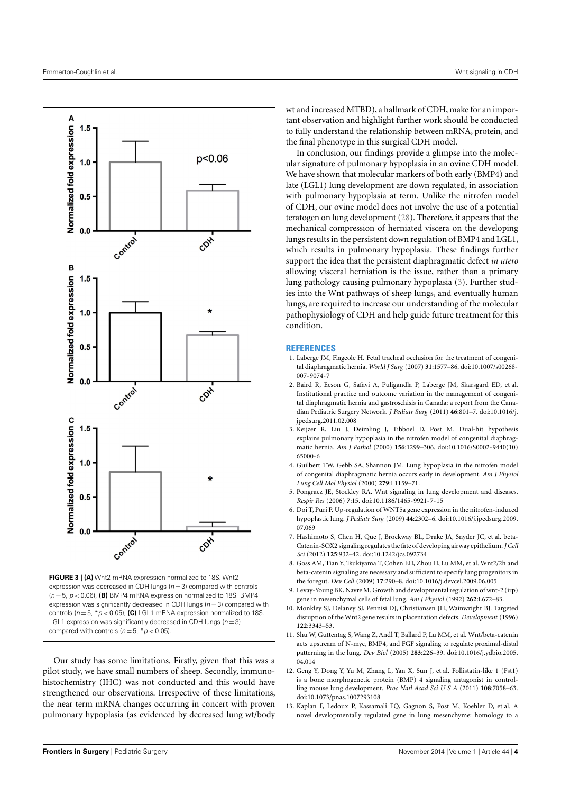

<span id="page-5-13"></span> $(n = 5, p < 0.06)$ , **(B)** BMP4 mRNA expression normalized to 18S. BMP4 expression was significantly decreased in CDH lungs ( $n = 3$ ) compared with controls ( $n = 5$ ,  $* p < 0.05$ ), **(C)** LGL1 mRNA expression normalized to 18S. LGL1 expression was significantly decreased in CDH lungs ( $n = 3$ ) compared with controls ( $n = 5$ , \* $p < 0.05$ ).

Our study has some limitations. Firstly, given that this was a pilot study, we have small numbers of sheep. Secondly, immunohistochemistry (IHC) was not conducted and this would have strengthened our observations. Irrespective of these limitations, the near term mRNA changes occurring in concert with proven pulmonary hypoplasia (as evidenced by decreased lung wt/body wt and increased MTBD), a hallmark of CDH, make for an important observation and highlight further work should be conducted to fully understand the relationship between mRNA, protein, and the final phenotype in this surgical CDH model.

In conclusion, our findings provide a glimpse into the molecular signature of pulmonary hypoplasia in an ovine CDH model. We have shown that molecular markers of both early (BMP4) and late (LGL1) lung development are down regulated, in association with pulmonary hypoplasia at term. Unlike the nitrofen model of CDH, our ovine model does not involve the use of a potential teratogen on lung development [\(28\)](#page-6-13). Therefore, it appears that the mechanical compression of herniated viscera on the developing lungs results in the persistent down regulation of BMP4 and LGL1, which results in pulmonary hypoplasia. These findings further support the idea that the persistent diaphragmatic defect *in utero* allowing visceral herniation is the issue, rather than a primary lung pathology causing pulmonary hypoplasia [\(3\)](#page-5-2). Further studies into the Wnt pathways of sheep lungs, and eventually human lungs, are required to increase our understanding of the molecular pathophysiology of CDH and help guide future treatment for this condition.

#### **REFERENCES**

- <span id="page-5-0"></span>1. Laberge JM, Flageole H. Fetal tracheal occlusion for the treatment of congenital diaphragmatic hernia. *World J Surg* (2007) **31**:1577–86. doi[:10.1007/s00268-](http://dx.doi.org/10.1007/s00268-007-9074-7) [007-9074-7](http://dx.doi.org/10.1007/s00268-007-9074-7)
- <span id="page-5-1"></span>2. Baird R, Eeson G, Safavi A, Puligandla P, Laberge JM, Skarsgard ED, et al. Institutional practice and outcome variation in the management of congenital diaphragmatic hernia and gastroschisis in Canada: a report from the Canadian Pediatric Surgery Network. *J Pediatr Surg* (2011) **46**:801–7. doi[:10.1016/j.](http://dx.doi.org/10.1016/j.jpedsurg.2011.02.008) [jpedsurg.2011.02.008](http://dx.doi.org/10.1016/j.jpedsurg.2011.02.008)
- <span id="page-5-2"></span>3. Keijzer R, Liu J, Deimling J, Tibboel D, Post M. Dual-hit hypothesis explains pulmonary hypoplasia in the nitrofen model of congenital diaphragmatic hernia. *Am J Pathol* (2000) **156**:1299–306. doi[:10.1016/S0002-9440\(10\)](http://dx.doi.org/10.1016/S0002-9440(10)65000-6) [65000-6](http://dx.doi.org/10.1016/S0002-9440(10)65000-6)
- <span id="page-5-3"></span>4. Guilbert TW, Gebb SA, Shannon JM. Lung hypoplasia in the nitrofen model of congenital diaphragmatic hernia occurs early in development. *Am J Physiol Lung Cell Mol Physiol* (2000) **279**:L1159–71.
- <span id="page-5-4"></span>5. Pongracz JE, Stockley RA. Wnt signaling in lung development and diseases. *Respir Res* (2006) **7**:15. doi[:10.1186/1465-9921-7-15](http://dx.doi.org/10.1186/1465-9921-7-15)
- <span id="page-5-5"></span>6. Doi T, Puri P. Up-regulation of WNT5a gene expression in the nitrofen-induced hypoplastic lung. *J Pediatr Surg* (2009) **44**:2302–6. doi[:10.1016/j.jpedsurg.2009.](http://dx.doi.org/10.1016/j.jpedsurg.2009.07.069) [07.069](http://dx.doi.org/10.1016/j.jpedsurg.2009.07.069)
- <span id="page-5-6"></span>7. Hashimoto S, Chen H, Que J, Brockway BL, Drake JA, Snyder JC, et al. beta-Catenin-SOX2 signaling regulates the fate of developing airway epithelium.*J Cell Sci* (2012) **125**:932–42. doi[:10.1242/jcs.092734](http://dx.doi.org/10.1242/jcs.092734)
- <span id="page-5-7"></span>8. Goss AM, Tian Y, Tsukiyama T, Cohen ED, Zhou D, Lu MM, et al. Wnt2/2h and beta-catenin signaling are necessary and sufficient to specify lung progenitors in the foregut. *Dev Cell* (2009) **17**:290–8. doi[:10.1016/j.devcel.2009.06.005](http://dx.doi.org/10.1016/j.devcel.2009.06.005)
- <span id="page-5-8"></span>9. Levay-Young BK, Navre M. Growth and developmental regulation of wnt-2 (irp) gene in mesenchymal cells of fetal lung. *Am J Physiol* (1992) **262**:L672–83.
- <span id="page-5-9"></span>10. Monkley SJ, Delaney SJ, Pennisi DJ, Christiansen JH, Wainwright BJ. Targeted disruption of the Wnt2 gene results in placentation defects. *Development* (1996) **122**:3343–53.
- <span id="page-5-10"></span>11. Shu W, Guttentag S, Wang Z, Andl T, Ballard P, Lu MM, et al. Wnt/beta-catenin acts upstream of N-myc, BMP4, and FGF signaling to regulate proximal-distal patterning in the lung. *Dev Biol* (2005) **283**:226–39. doi[:10.1016/j.ydbio.2005.](http://dx.doi.org/10.1016/j.ydbio.2005.04.014) [04.014](http://dx.doi.org/10.1016/j.ydbio.2005.04.014)
- <span id="page-5-11"></span>12. Geng Y, Dong Y, Yu M, Zhang L, Yan X, Sun J, et al. Follistatin-like 1 (Fst1) is a bone morphogenetic protein (BMP) 4 signaling antagonist in controlling mouse lung development. *Proc Natl Acad Sci U S A* (2011) **108**:7058–63. doi[:10.1073/pnas.1007293108](http://dx.doi.org/10.1073/pnas.1007293108)
- <span id="page-5-12"></span>13. Kaplan F, Ledoux P, Kassamali FQ, Gagnon S, Post M, Koehler D, et al. A novel developmentally regulated gene in lung mesenchyme: homology to a